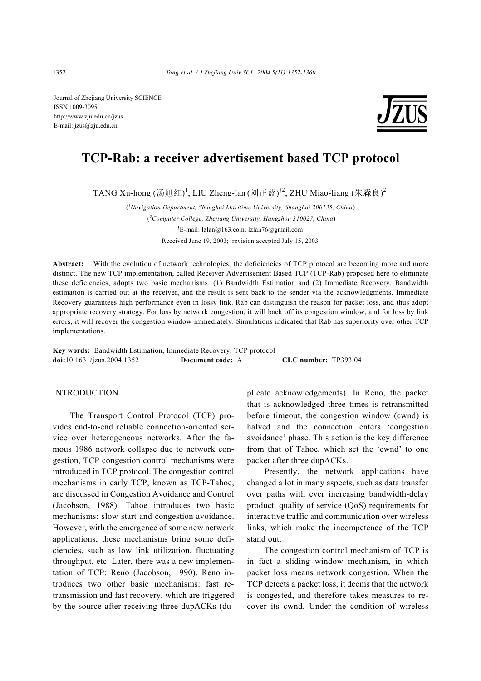Journal of Zhejiang University SCIENCE ISSN 1009-3095 http://www.zju.edu.cn/jzus E-mail: jzus@zju.edu.cn



# **TCP-Rab: a receiver advertisement based TCP protocol**

TANG Xu-hong (汤旭红)  $^1$ , LIU Zheng-lan (刘正蓝) $^{\dagger 2}$ , ZHU Miao-liang (朱淼良)  $^2$ 

( *1 Navigation Department, Shanghai Maritime University, Shanghai 200135, China*) ( *2 Computer College, Zhejiang University, Hangzhou 310027, China*) † E-mail: lzlan@163.com; lzlan76@gmail.com Received June 19, 2003; revision accepted July 15, 2003

Abstract: With the evolution of network technologies, the deficiencies of TCP protocol are becoming more and more distinct. The new TCP implementation, called Receiver Advertisement Based TCP (TCP-Rab) proposed here to eliminate these deficiencies, adopts two basic mechanisms: (1) Bandwidth Estimation and (2) Immediate Recovery. Bandwidth estimation is carried out at the receiver, and the result is sent back to the sender via the acknowledgments. Immediate Recovery guarantees high performance even in lossy link. Rab can distinguish the reason for packet loss, and thus adopt appropriate recovery strategy. For loss by network congestion, it will back off its congestion window, and for loss by link errors, it will recover the congestion window immediately. Simulations indicated that Rab has superiority over other TCP implementations.

**Key words:** Bandwidth Estimation, Immediate Recovery, TCP protocol **doi:**10.1631/jzus.2004.1352 **Document code:** A **CLC number:** TP393.04

# INTRODUCTION

The Transport Control Protocol (TCP) provides end-to-end reliable connection-oriented service over heterogeneous networks. After the famous 1986 network collapse due to network congestion, TCP congestion control mechanisms were introduced in TCP protocol. The congestion control mechanisms in early TCP, known as TCP-Tahoe, are discussed in Congestion Avoidance and Control (Jacobson, 1988). Tahoe introduces two basic mechanisms: slow start and congestion avoidance. However, with the emergence of some new network applications, these mechanisms bring some deficiencies, such as low link utilization, fluctuating throughput, etc. Later, there was a new implementation of TCP: Reno (Jacobson, 1990). Reno introduces two other basic mechanisms: fast retransmission and fast recovery, which are triggered by the source after receiving three dupACKs (duplicate acknowledgements). In Reno, the packet that is acknowledged three times is retransmitted before timeout, the congestion window (cwnd) is halved and the connection enters 'congestion avoidance' phase. This action is the key difference from that of Tahoe, which set the 'cwnd' to one packet after three dupACKs.

Presently, the network applications have changed a lot in many aspects, such as data transfer over paths with ever increasing bandwidth-delay product, quality of service (QoS) requirements for interactive traffic and communication over wireless links, which make the incompetence of the TCP stand out.

The congestion control mechanism of TCP is in fact a sliding window mechanism, in which packet loss means network congestion. When the TCP detects a packet loss, it deems that the network is congested, and therefore takes measures to recover its cwnd. Under the condition of wireless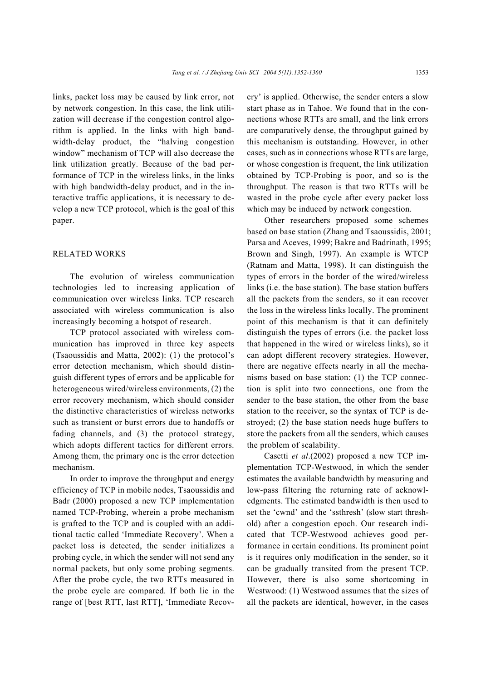links, packet loss may be caused by link error, not by network congestion. In this case, the link utilization will decrease if the congestion control algorithm is applied. In the links with high bandwidth-delay product, the "halving congestion window" mechanism of TCP will also decrease the link utilization greatly. Because of the bad performance of TCP in the wireless links, in the links with high bandwidth-delay product, and in the interactive traffic applications, it is necessary to develop a new TCP protocol, which is the goal of this paper.

## RELATED WORKS

The evolution of wireless communication technologies led to increasing application of communication over wireless links. TCP research associated with wireless communication is also increasingly becoming a hotspot of research.

TCP protocol associated with wireless communication has improved in three key aspects (Tsaoussidis and Matta, 2002): (1) the protocol's error detection mechanism, which should distinguish different types of errors and be applicable for heterogeneous wired/wireless environments, (2) the error recovery mechanism, which should consider the distinctive characteristics of wireless networks such as transient or burst errors due to handoffs or fading channels, and (3) the protocol strategy, which adopts different tactics for different errors. Among them, the primary one is the error detection mechanism.

In order to improve the throughput and energy efficiency of TCP in mobile nodes, Tsaoussidis and Badr (2000) proposed a new TCP implementation named TCP-Probing, wherein a probe mechanism is grafted to the TCP and is coupled with an additional tactic called 'Immediate Recovery'. When a packet loss is detected, the sender initializes a probing cycle, in which the sender will not send any normal packets, but only some probing segments. After the probe cycle, the two RTTs measured in the probe cycle are compared. If both lie in the range of [best RTT, last RTT], 'Immediate Recovery' is applied. Otherwise, the sender enters a slow start phase as in Tahoe. We found that in the connections whose RTTs are small, and the link errors are comparatively dense, the throughput gained by this mechanism is outstanding. However, in other cases, such as in connections whose RTTs are large, or whose congestion is frequent, the link utilization obtained by TCP-Probing is poor, and so is the throughput. The reason is that two RTTs will be wasted in the probe cycle after every packet loss which may be induced by network congestion.

Other researchers proposed some schemes based on base station (Zhang and Tsaoussidis, 2001; Parsa and Aceves, 1999; Bakre and Badrinath, 1995; Brown and Singh, 1997). An example is WTCP (Ratnam and Matta, 1998). It can distinguish the types of errors in the border of the wired/wireless links (i.e. the base station). The base station buffers all the packets from the senders, so it can recover the loss in the wireless links locally. The prominent point of this mechanism is that it can definitely distinguish the types of errors (i.e. the packet loss that happened in the wired or wireless links), so it can adopt different recovery strategies. However, there are negative effects nearly in all the mechanisms based on base station: (1) the TCP connection is split into two connections, one from the sender to the base station, the other from the base station to the receiver, so the syntax of TCP is destroyed; (2) the base station needs huge buffers to store the packets from all the senders, which causes the problem of scalability.

Casetti *et al*.(2002) proposed a new TCP implementation TCP-Westwood, in which the sender estimates the available bandwidth by measuring and low-pass filtering the returning rate of acknowledgments. The estimated bandwidth is then used to set the 'cwnd' and the 'ssthresh' (slow start threshold) after a congestion epoch. Our research indicated that TCP-Westwood achieves good performance in certain conditions. Its prominent point is it requires only modification in the sender, so it can be gradually transited from the present TCP. However, there is also some shortcoming in Westwood: (1) Westwood assumes that the sizes of all the packets are identical, however, in the cases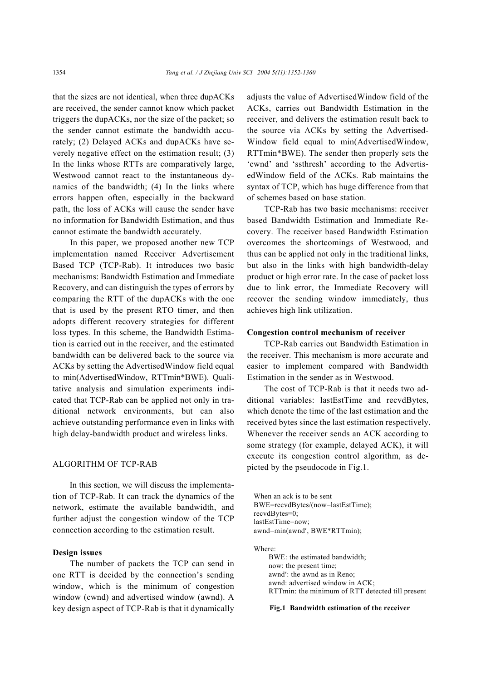that the sizes are not identical, when three dupACKs are received, the sender cannot know which packet triggers the dupACKs, nor the size of the packet; so the sender cannot estimate the bandwidth accurately; (2) Delayed ACKs and dupACKs have severely negative effect on the estimation result; (3) In the links whose RTTs are comparatively large, Westwood cannot react to the instantaneous dynamics of the bandwidth; (4) In the links where errors happen often, especially in the backward path, the loss of ACKs will cause the sender have no information for Bandwidth Estimation, and thus cannot estimate the bandwidth accurately.

In this paper, we proposed another new TCP implementation named Receiver Advertisement Based TCP (TCP-Rab). It introduces two basic mechanisms: Bandwidth Estimation and Immediate Recovery, and can distinguish the types of errors by comparing the RTT of the dupACKs with the one that is used by the present RTO timer, and then adopts different recovery strategies for different loss types. In this scheme, the Bandwidth Estimation is carried out in the receiver, and the estimated bandwidth can be delivered back to the source via ACKs by setting the AdvertisedWindow field equal to min(AdvertisedWindow, RTTmin\*BWE). Qualitative analysis and simulation experiments indicated that TCP-Rab can be applied not only in traditional network environments, but can also achieve outstanding performance even in links with high delay-bandwidth product and wireless links.

# ALGORITHM OF TCP-RAB

In this section, we will discuss the implementation of TCP-Rab. It can track the dynamics of the network, estimate the available bandwidth, and further adjust the congestion window of the TCP connection according to the estimation result.

# **Design issues**

The number of packets the TCP can send in one RTT is decided by the connection's sending window, which is the minimum of congestion window (cwnd) and advertised window (awnd). A key design aspect of TCP-Rab is that it dynamically adjusts the value of AdvertisedWindow field of the ACKs, carries out Bandwidth Estimation in the receiver, and delivers the estimation result back to the source via ACKs by setting the Advertised-Window field equal to min(AdvertisedWindow, RTTmin\*BWE). The sender then properly sets the 'cwnd' and 'ssthresh' according to the AdvertisedWindow field of the ACKs. Rab maintains the syntax of TCP, which has huge difference from that of schemes based on base station.

TCP-Rab has two basic mechanisms: receiver based Bandwidth Estimation and Immediate Recovery. The receiver based Bandwidth Estimation overcomes the shortcomings of Westwood, and thus can be applied not only in the traditional links, but also in the links with high bandwidth-delay product or high error rate. In the case of packet loss due to link error, the Immediate Recovery will recover the sending window immediately, thus achieves high link utilization.

## **Congestion control mechanism of receiver**

TCP-Rab carries out Bandwidth Estimation in the receiver. This mechanism is more accurate and easier to implement compared with Bandwidth Estimation in the sender as in Westwood.

The cost of TCP-Rab is that it needs two additional variables: lastEstTime and recvdBytes, which denote the time of the last estimation and the received bytes since the last estimation respectively. Whenever the receiver sends an ACK according to some strategy (for example, delayed ACK), it will execute its congestion control algorithm, as depicted by the pseudocode in Fig.1.

When an ack is to be sent BWE=recvdBytes/(now−lastEstTime); recvdBytes=0; lastEstTime=now; awnd=min(awnd′, BWE\*RTTmin);

Where:

BWE: the estimated bandwidth; now: the present time; awnd′: the awnd as in Reno; awnd: advertised window in ACK; RTTmin: the minimum of RTT detected till present

**Fig.1 Bandwidth estimation of the receiver**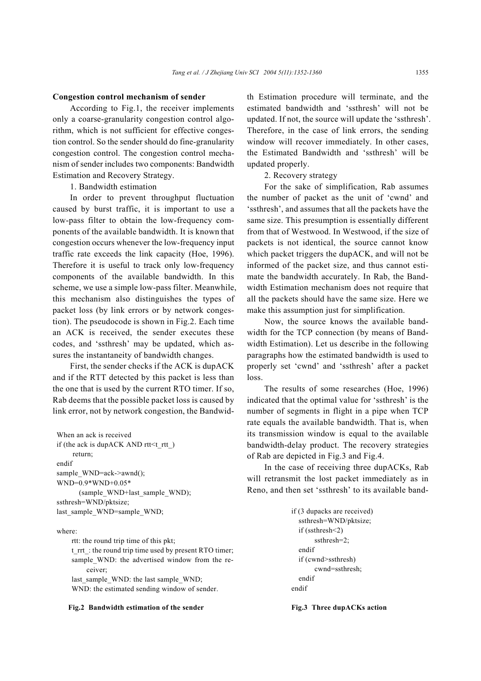#### **Congestion control mechanism of sender**

According to Fig.1, the receiver implements only a coarse-granularity congestion control algorithm, which is not sufficient for effective congestion control. So the sender should do fine-granularity congestion control. The congestion control mechanism of sender includes two components: Bandwidth Estimation and Recovery Strategy.

1. Bandwidth estimation

In order to prevent throughput fluctuation caused by burst traffic, it is important to use a low-pass filter to obtain the low-frequency components of the available bandwidth. It is known that congestion occurs whenever the low-frequency input traffic rate exceeds the link capacity (Hoe, 1996). Therefore it is useful to track only low-frequency components of the available bandwidth. In this scheme, we use a simple low-pass filter. Meanwhile, this mechanism also distinguishes the types of packet loss (by link errors or by network congestion). The pseudocode is shown in Fig.2. Each time an ACK is received, the sender executes these codes, and 'ssthresh' may be updated, which assures the instantaneity of bandwidth changes.

First, the sender checks if the ACK is dupACK and if the RTT detected by this packet is less than the one that is used by the current RTO timer. If so, Rab deems that the possible packet loss is caused by link error, not by network congestion, the Bandwid-

```
When an ack is received 
if (the ack is dupACK AND rttltt rtt)
     return; 
endif 
sample_WND=ack->awnd();
WND=0.9*WND+0.05* 
      (sample_WND+last_sample_WND); 
ssthresh=WND/pktsize; 
last_sample_WND=sample_WND;
```
#### where:

rtt: the round trip time of this pkt; t\_rrt\_: the round trip time used by present RTO timer; sample WND: the advertised window from the receiver; last sample WND: the last sample WND;

WND: the estimated sending window of sender.

#### **Fig.2 Bandwidth estimation of the sender**

th Estimation procedure will terminate, and the estimated bandwidth and 'ssthresh' will not be updated. If not, the source will update the 'ssthresh'. Therefore, in the case of link errors, the sending window will recover immediately. In other cases, the Estimated Bandwidth and 'ssthresh' will be updated properly.

2. Recovery strategy

For the sake of simplification, Rab assumes the number of packet as the unit of 'cwnd' and 'ssthresh', and assumes that all the packets have the same size. This presumption is essentially different from that of Westwood. In Westwood, if the size of packets is not identical, the source cannot know which packet triggers the dupACK, and will not be informed of the packet size, and thus cannot estimate the bandwidth accurately. In Rab, the Bandwidth Estimation mechanism does not require that all the packets should have the same size. Here we make this assumption just for simplification.

Now, the source knows the available bandwidth for the TCP connection (by means of Bandwidth Estimation). Let us describe in the following paragraphs how the estimated bandwidth is used to properly set 'cwnd' and 'ssthresh' after a packet loss.

The results of some researches (Hoe, 1996) indicated that the optimal value for 'ssthresh' is the number of segments in flight in a pipe when TCP rate equals the available bandwidth. That is, when its transmission window is equal to the available bandwidth-delay product. The recovery strategies of Rab are depicted in Fig.3 and Fig.4.

In the case of receiving three dupACKs, Rab will retransmit the lost packet immediately as in Reno, and then set 'ssthresh' to its available band-

> if (3 dupacks are received) ssthresh=WND/pktsize; if (ssthresh<2) ssthresh=2; endif if (cwnd>ssthresh) cwnd=ssthresh; endif endif

**Fig.3 Three dupACKs action**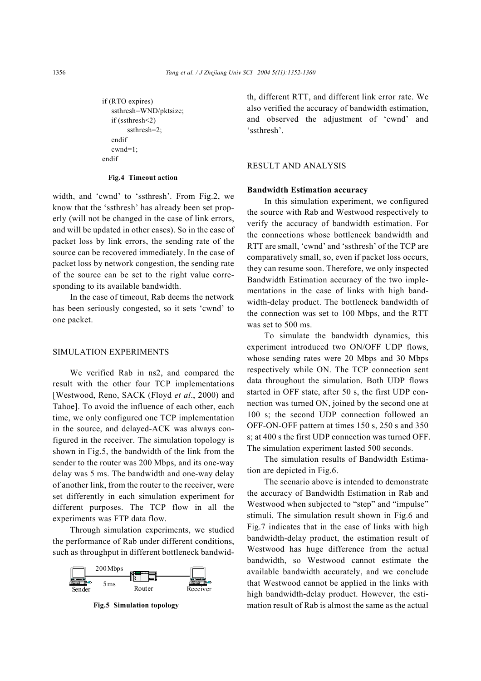if (RTO expires) ssthresh=WND/pktsize; if (ssthresh<2) ssthresh=2; endif cwnd=1; endif

#### **Fig.4 Timeout action**

width, and 'cwnd' to 'ssthresh'. From Fig.2, we know that the 'ssthresh' has already been set properly (will not be changed in the case of link errors, and will be updated in other cases). So in the case of packet loss by link errors, the sending rate of the source can be recovered immediately. In the case of packet loss by network congestion, the sending rate of the source can be set to the right value corresponding to its available bandwidth.

In the case of timeout, Rab deems the network has been seriously congested, so it sets 'cwnd' to one packet.

### SIMULATION EXPERIMENTS

We verified Rab in ns2, and compared the result with the other four TCP implementations [Westwood, Reno, SACK (Floyd *et al*., 2000) and Tahoe]. To avoid the influence of each other, each time, we only configured one TCP implementation in the source, and delayed-ACK was always configured in the receiver. The simulation topology is shown in Fig.5, the bandwidth of the link from the sender to the router was 200 Mbps, and its one-way delay was 5 ms. The bandwidth and one-way delay of another link, from the router to the receiver, were set differently in each simulation experiment for different purposes. The TCP flow in all the experiments was FTP data flow.

Through simulation experiments, we studied the performance of Rab under different conditions, such as throughput in different bottleneck bandwid-



**Fig.5 Simulation topology** 

th, different RTT, and different link error rate. We also verified the accuracy of bandwidth estimation, and observed the adjustment of 'cwnd' and 'ssthresh'.

# RESULT AND ANALYSIS

# **Bandwidth Estimation accuracy**

In this simulation experiment, we configured the source with Rab and Westwood respectively to verify the accuracy of bandwidth estimation. For the connections whose bottleneck bandwidth and RTT are small, 'cwnd' and 'ssthresh' of the TCP are comparatively small, so, even if packet loss occurs, they can resume soon. Therefore, we only inspected Bandwidth Estimation accuracy of the two implementations in the case of links with high bandwidth-delay product. The bottleneck bandwidth of the connection was set to 100 Mbps, and the RTT was set to 500 ms.

To simulate the bandwidth dynamics, this experiment introduced two ON/OFF UDP flows, whose sending rates were 20 Mbps and 30 Mbps respectively while ON. The TCP connection sent data throughout the simulation. Both UDP flows started in OFF state, after 50 s, the first UDP connection was turned ON, joined by the second one at 100 s; the second UDP connection followed an OFF-ON-OFF pattern at times 150 s, 250 s and 350 s; at 400 s the first UDP connection was turned OFF. The simulation experiment lasted 500 seconds.

The simulation results of Bandwidth Estimation are depicted in Fig.6.

The scenario above is intended to demonstrate the accuracy of Bandwidth Estimation in Rab and Westwood when subjected to "step" and "impulse" stimuli. The simulation result shown in Fig.6 and Fig.7 indicates that in the case of links with high bandwidth-delay product, the estimation result of Westwood has huge difference from the actual bandwidth, so Westwood cannot estimate the available bandwidth accurately, and we conclude that Westwood cannot be applied in the links with high bandwidth-delay product. However, the estimation result of Rab is almost the same as the actual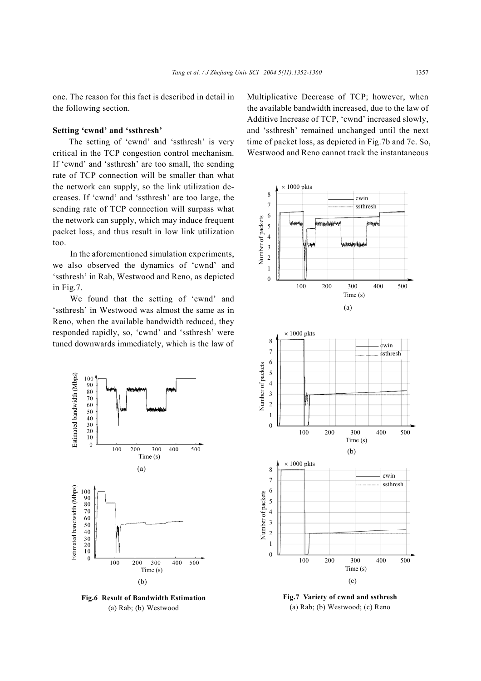one. The reason for this fact is described in detail in the following section.

### **Setting 'cwnd' and 'ssthresh'**

The setting of 'cwnd' and 'ssthresh' is very critical in the TCP congestion control mechanism. If 'cwnd' and 'ssthresh' are too small, the sending rate of TCP connection will be smaller than what the network can supply, so the link utilization decreases. If 'cwnd' and 'ssthresh' are too large, the sending rate of TCP connection will surpass what the network can supply, which may induce frequent packet loss, and thus result in low link utilization too.

In the aforementioned simulation experiments, we also observed the dynamics of 'cwnd' and 'ssthresh' in Rab, Westwood and Reno, as depicted in Fig.7.

We found that the setting of 'cwnd' and 'ssthresh' in Westwood was almost the same as in Reno, when the available bandwidth reduced, they responded rapidly, so, 'cwnd' and 'ssthresh' were tuned downwards immediately, which is the law of



**Fig.6 Result of Bandwidth Estimation** (a) Rab; (b) Westwood

Multiplicative Decrease of TCP; however, when the available bandwidth increased, due to the law of Additive Increase of TCP, 'cwnd' increased slowly, and 'ssthresh' remained unchanged until the next time of packet loss, as depicted in Fig.7b and 7c. So, Westwood and Reno cannot track the instantaneous



**Fig.7 Variety of cwnd and ssthresh**  (a) Rab; (b) Westwood; (c) Reno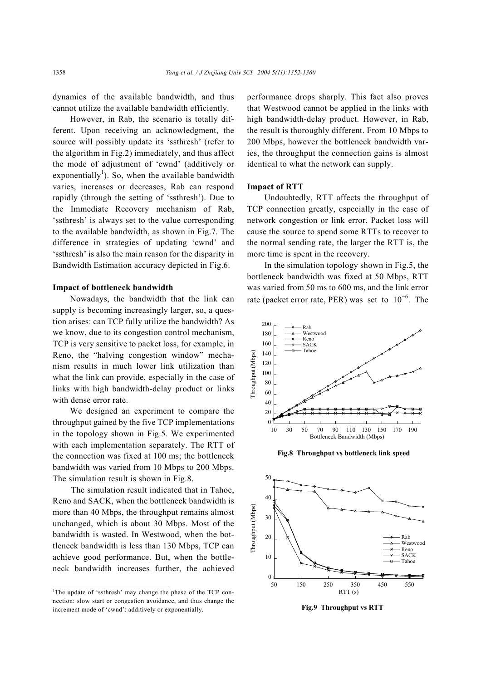dynamics of the available bandwidth, and thus cannot utilize the available bandwidth efficiently.

However, in Rab, the scenario is totally different. Upon receiving an acknowledgment, the source will possibly update its 'ssthresh' (refer to the algorithm in Fig.2) immediately, and thus affect the mode of adjustment of 'cwnd' (additively or exponentially<sup>1</sup>). So, when the available bandwidth varies, increases or decreases, Rab can respond rapidly (through the setting of 'ssthresh'). Due to the Immediate Recovery mechanism of Rab, 'ssthresh' is always set to the value corresponding to the available bandwidth, as shown in Fig.7. The difference in strategies of updating 'cwnd' and 'ssthresh' is also the main reason for the disparity in Bandwidth Estimation accuracy depicted in Fig.6.

# **Impact of bottleneck bandwidth**

Nowadays, the bandwidth that the link can supply is becoming increasingly larger, so, a question arises: can TCP fully utilize the bandwidth? As we know, due to its congestion control mechanism, TCP is very sensitive to packet loss, for example, in Reno, the "halving congestion window" mechanism results in much lower link utilization than what the link can provide, especially in the case of links with high bandwidth-delay product or links with dense error rate.

We designed an experiment to compare the throughput gained by the five TCP implementations in the topology shown in Fig.5. We experimented with each implementation separately. The RTT of the connection was fixed at 100 ms; the bottleneck bandwidth was varied from 10 Mbps to 200 Mbps. The simulation result is shown in Fig.8.

The simulation result indicated that in Tahoe, Reno and SACK, when the bottleneck bandwidth is more than 40 Mbps, the throughput remains almost unchanged, which is about 30 Mbps. Most of the bandwidth is wasted. In Westwood, when the bottleneck bandwidth is less than 130 Mbps, TCP can achieve good performance. But, when the bottleneck bandwidth increases further, the achieved

 $\overline{a}$ 

performance drops sharply. This fact also proves that Westwood cannot be applied in the links with high bandwidth-delay product. However, in Rab, the result is thoroughly different. From 10 Mbps to 200 Mbps, however the bottleneck bandwidth varies, the throughput the connection gains is almost identical to what the network can supply.

## **Impact of RTT**

Undoubtedly, RTT affects the throughput of TCP connection greatly, especially in the case of network congestion or link error. Packet loss will cause the source to spend some RTTs to recover to the normal sending rate, the larger the RTT is, the more time is spent in the recovery.

In the simulation topology shown in Fig.5, the bottleneck bandwidth was fixed at 50 Mbps, RTT was varied from 50 ms to 600 ms, and the link error rate (packet error rate, PER) was set to  $10^{-6}$ . The



**Fig.8 Throughput vs bottleneck link speed** 



**Fig.9 Throughput vs RTT** 

<sup>&</sup>lt;sup>1</sup>The update of 'ssthresh' may change the phase of the TCP connection: slow start or congestion avoidance, and thus change the increment mode of 'cwnd': additively or exponentially.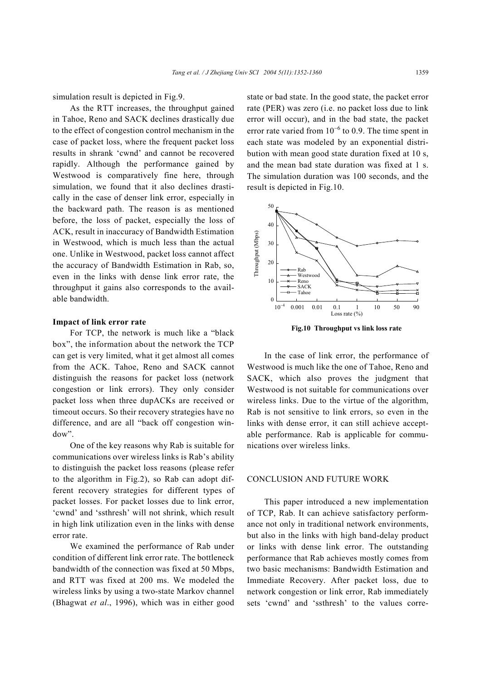simulation result is depicted in Fig.9.

As the RTT increases, the throughput gained in Tahoe, Reno and SACK declines drastically due to the effect of congestion control mechanism in the case of packet loss, where the frequent packet loss results in shrank 'cwnd' and cannot be recovered rapidly. Although the performance gained by Westwood is comparatively fine here, through simulation, we found that it also declines drastically in the case of denser link error, especially in the backward path. The reason is as mentioned before, the loss of packet, especially the loss of ACK, result in inaccuracy of Bandwidth Estimation in Westwood, which is much less than the actual one. Unlike in Westwood, packet loss cannot affect the accuracy of Bandwidth Estimation in Rab, so, even in the links with dense link error rate, the throughput it gains also corresponds to the available bandwidth.

# **Impact of link error rate**

For TCP, the network is much like a "black box", the information about the network the TCP can get is very limited, what it get almost all comes from the ACK. Tahoe, Reno and SACK cannot distinguish the reasons for packet loss (network congestion or link errors). They only consider packet loss when three dupACKs are received or timeout occurs. So their recovery strategies have no difference, and are all "back off congestion window".

One of the key reasons why Rab is suitable for communications over wireless links is Rab's ability to distinguish the packet loss reasons (please refer to the algorithm in Fig.2), so Rab can adopt different recovery strategies for different types of packet losses. For packet losses due to link error, 'cwnd' and 'ssthresh' will not shrink, which result in high link utilization even in the links with dense error rate.

We examined the performance of Rab under condition of different link error rate. The bottleneck bandwidth of the connection was fixed at 50 Mbps, and RTT was fixed at 200 ms. We modeled the wireless links by using a two-state Markov channel (Bhagwat *et al*., 1996), which was in either good state or bad state. In the good state, the packet error rate (PER) was zero (i.e. no packet loss due to link error will occur), and in the bad state, the packet error rate varied from  $10^{-6}$  to 0.9. The time spent in each state was modeled by an exponential distribution with mean good state duration fixed at 10 s, and the mean bad state duration was fixed at 1 s. The simulation duration was 100 seconds, and the result is depicted in Fig.10.



**Fig.10 Throughput vs link loss rate** 

In the case of link error, the performance of Westwood is much like the one of Tahoe, Reno and SACK, which also proves the judgment that Westwood is not suitable for communications over wireless links. Due to the virtue of the algorithm, Rab is not sensitive to link errors, so even in the links with dense error, it can still achieve acceptable performance. Rab is applicable for communications over wireless links.

### CONCLUSION AND FUTURE WORK

This paper introduced a new implementation of TCP, Rab. It can achieve satisfactory performance not only in traditional network environments, but also in the links with high band-delay product or links with dense link error. The outstanding performance that Rab achieves mostly comes from two basic mechanisms: Bandwidth Estimation and Immediate Recovery. After packet loss, due to network congestion or link error, Rab immediately sets 'cwnd' and 'ssthresh' to the values corre